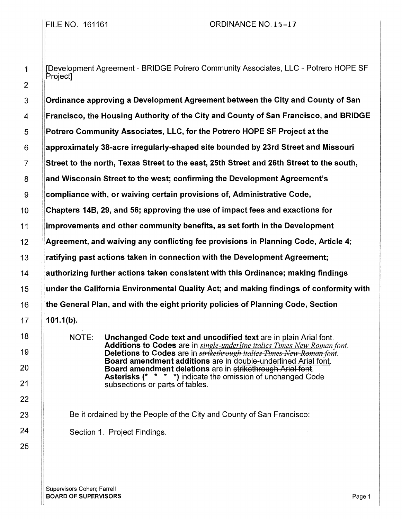[Development Agreement - BRIDGE Potrero Community Associates, LLC - Potrero HOPE SF Project]

Ordinance approving a Development Agreement between the City and County of San Francisco, the Housing Authority of the City and County of San Francisco, and BRIDGE Potrero Community Associates, LLC, for the Potrero HOPE SF Project at the approximately 38-acre irregularly-shaped site bounded by 23rd Street and Missouri Street to the north, Texas Street to the east, 25th Street and 26th Street to the south, and Wisconsin Street to the west; confirming the Development Agreement's compliance with, or waiving certain provisions of, Administrative Code, Chapters 14B, 29, and 56; approving the use of impact fees and exactions for improvements and other community benefits, as set forth in the Development Agreement, and waiving any conflicting fee provisions in Planning Code, Article 4; ratifying past actions taken in connection with the Development Agreement; authorizing further actions taken consistent with this Ordinance; making findings under the California Environmental Quality Act; and making findings of conformity with the General Plan, and with the eight priority policies of Planning Code, Section 101.1(b).

> NOTE: Unchanged Code text and uncodified text are in plain Arial font. Additions to Codes are in *single-underline italics Times New Roman font.*  Deletions to Codes are in *strikethrough italies Times New Roman font.* Board amendment additions are in double-underlined Arial font. Board amendment deletions are in strikethrough Arial font. Asterisks (\* \* \* \*) indicate the omission of unchanged Code subsections or parts of tables.

Be it ordained by the People of the City and County of San Francisco:

Section 1. Project Findings.

Supervisors Cohen; Farrell **BOARD OF SUPERVISORS** Page 1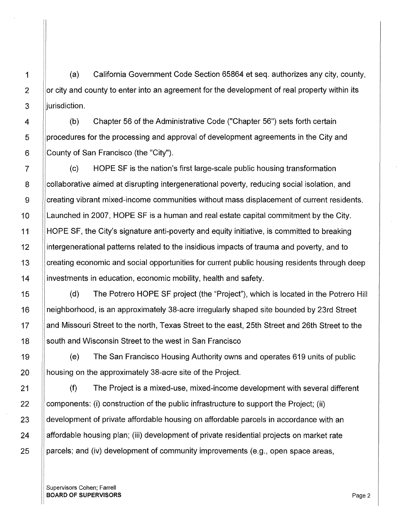1 | (a) California Government Code Section 65864 et seq. authorizes any city, county,  $2$  |  $\alpha$  city and county to enter into an agreement for the development of real property within its 3 **jurisdiction**.

4 (b) Chapter 56 of the Administrative Code ("Chapter 56") sets forth certain 5 **procedures for the processing and approval of development agreements in the City and**  $6$  | County of San Francisco (the "City").

7 (c) HOPE SF is the nation's first large-scale public housing transformation 8 Collaborative aimed at disrupting intergenerational poverty, reducing social isolation, and 9 Creating vibrant mixed-income communities without mass displacement of current residents. 10 Launched in 2007, HOPE SF is a human and real estate capital commitment by the City. 11 HOPE SF, the City's signature anti-poverty and equity initiative, is committed to breaking 12 intergenerational patterns related to the insidious impacts of trauma and poverty, and to 13 Creating economic and social opportunities for current public housing residents through deep 14 investments in education, economic mobility, health and safety.

15 (d) The Potrero HOPE SF project (the "Project"), which is located in the Potrero Hill 16 neighborhood, is an approximately 38-acre irregularly shaped site bounded by 23rd Street 17 I and Missouri Street to the north, Texas Street to the east, 25th Street and 26th Street to the 18 South and Wisconsin Street to the west in San Francisco

19 | (e) The San Francisco Housing Authority owns and operates 619 units of public 20 || housing on the approximately 38-acre site of the Project.

(f) The Project is a mixed-use, mixed-income development with several different components: (i) construction of the public infrastructure to support the Project; (ii) development of private affordable housing on affordable parcels in accordance with an affordable housing plan; (iii) development of private residential projects on market rate parcels; and (iv) development of community improvements (e.g., open space areas,

Supervisors Cohen; Farrell **BOARD OF SUPERVISORS** Page 2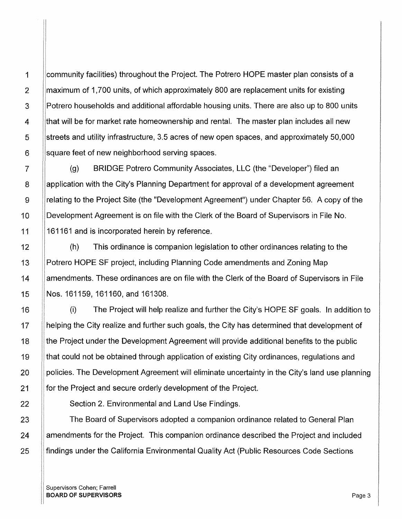community facilities) throughout the Project. The Potrero HOPE master plan consists of a maximum of 1,700 units, of which approximately 800 are replacement units for existing Potrero households and additional affordable housing units. There are also up to 800 units 1 that will be for market rate homeownership and rental. The master plan includes all new streets and utility infrastructure, 3.5 acres of new open spaces, and approximately 50,000 square feet of new neighborhood serving spaces.

(g) BRIDGE Potrero Community Associates, LLC (the "Developer") filed an 8 Application with the City's Planning Department for approval of a development agreement 9 | relating to the Project Site (the "Development Agreement") under Chapter 56. A copy of the 10 **Development Agreement is on file with the Clerk of the Board of Supervisors in File No.** 11 ||161161 and is incorporated herein by reference.

12 **12** (h) This ordinance is companion legislation to other ordinances relating to the 13 | Potrero HOPE SF project, including Planning Code amendments and Zoning Map 14 | || amendments. These ordinances are on file with the Clerk of the Board of Supervisors in File 15 Nos. 161159, 161160, and 161308.

16 (i) The Project will help realize and further the City's HOPE SF goals. In addition to 17 | helping the City realize and further such goals, the City has determined that development of 18 **the Project under the Development Agreement will provide additional benefits to the public** 19 **that could not be obtained through application of existing City ordinances, regulations and** 20 || policies. The Development Agreement will eliminate uncertainty in the City's land use planning 21 **for the Project and secure orderly development of the Project.** 

22 **Section 2. Environmental and Land Use Findings.** 

23 **The Board of Supervisors adopted a companion ordinance related to General Plan** 24 | amendments for the Project. This companion ordinance described the Project and included 25 **findings under the California Environmental Quality Act (Public Resources Code Sections**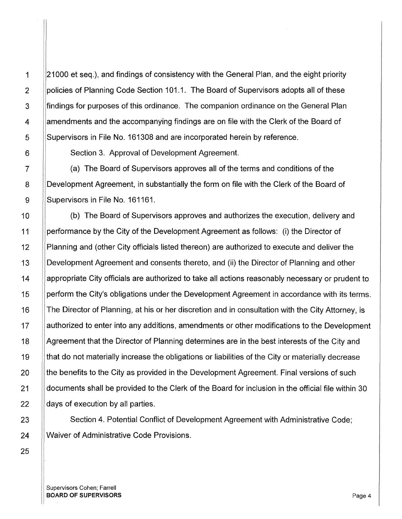1 21000 et seq.), and findings of consistency with the General Plan, and the eight priority policies of Planning Code Section 101.1. The Board of Supervisors adopts all of these 3 **I** findings for purposes of this ordinance. The companion ordinance on the General Plan 4 | ||amendments and the accompanying findings are on file with the Clerk of the Board of 5 Supervisors in File No. 161308 and are incorporated herein by reference.

6 Section 3. Approval of Development Agreement.

7 (a) The Board of Supervisors approves all of the terms and conditions of the 8 |Development Agreement, in substantially the form on file with the Clerk of the Board of 9 ||Supervisors in File No. 161161.

10 | (b) The Board of Supervisors approves and authorizes the execution, delivery and 11 performance by the City of the Development Agreement as follows: (i) the Director of 12 Planning and (other City officials listed thereon) are authorized to execute and deliver the 13 Development Agreement and consents thereto, and (ii) the Director of Planning and other 14 **Appropriate City officials are authorized to take all actions reasonably necessary or prudent to** 15 | perform the City's obligations under the Development Agreement in accordance with its terms. 16 | The Director of Planning, at his or her discretion and in consultation with the City Attorney, is 17 | authorized to enter into any additions, amendments or other modifications to the Development 18 Agreement that the Director of Planning determines are in the best interests of the City and 19 ||that do not materially increase the obligations or liabilities of the City or materially decrease 20 **the benefits to the City as provided in the Development Agreement. Final versions of such** 21 documents shall be provided to the Clerk of the Board for inclusion in the official file within 30  $22$  || days of execution by all parties.

23 **Section 4. Potential Conflict of Development Agreement with Administrative Code;** 24 Waiver of Administrative Code Provisions.

Supervisors Cohen; Farrell **BOARD OF SUPERVISORS** Page 4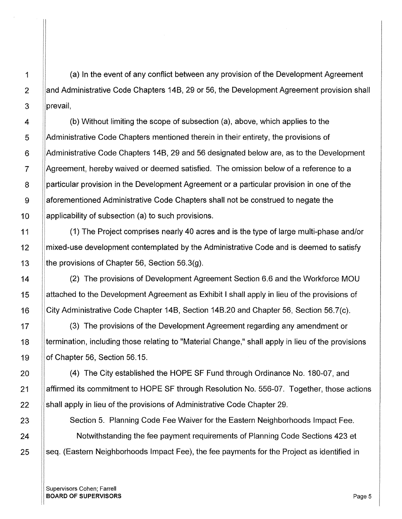$1$  (a) In the event of any conflict between any provision of the Development Agreement 2 Aland Administrative Code Chapters 14B, 29 or 56, the Development Agreement provision shall 3 **prevail**,

4 (b) Without limiting the scope of subsection (a), above, which applies to the 5 Administrative Code Chapters mentioned therein in their entirety, the provisions of 6 Administrative Code Chapters 148, 29 and 56 designated below are, as to the Development 7 Agreement, hereby waived or deemed satisfied. The omission below of a reference to a 8 **particular provision in the Development Agreement or a particular provision in one of the** 9 aforementioned Administrative Code Chapters shall not be construed to negate the 10 ||applicability of subsection (a) to such provisions.

11 (1) The Project comprises nearly 40 acres and is the type of large multi-phase and/or 12 Share in mixed-use development contemplated by the Administrative Code and is deemed to satisfy 13 **the provisions of Chapter 56, Section 56.3(g).** 

14 (2) The provisions of Development Agreement Section 6.6 and the Workforce MOU 15 attached to the Development Agreement as Exhibit I shall apply in lieu of the provisions of 16 City Administrative Code Chapter 14B, Section 14B.20 and Chapter 56, Section 56.7(c).

17 (3) The provisions of the Development Agreement regarding any amendment or 18 termination, including those relating to "Material Change," shall apply in lieu of the provisions 19 of Chapter 56, Section 56.15.

20 **(4)** The City established the HOPE SF Fund through Ordinance No. 180-07, and 21 Affirmed its commitment to HOPE SF through Resolution No. 556-07. Together, those actions 22 Shall apply in lieu of the provisions of Administrative Code Chapter 29.

23 | Section 5. Planning Code Fee Waiver for the Eastern Neighborhoods Impact Fee. 24 **Notwithstanding the fee payment requirements of Planning Code Sections 423 et** 25 Seq. (Eastern Neighborhoods Impact Fee), the fee payments for the Project as identified in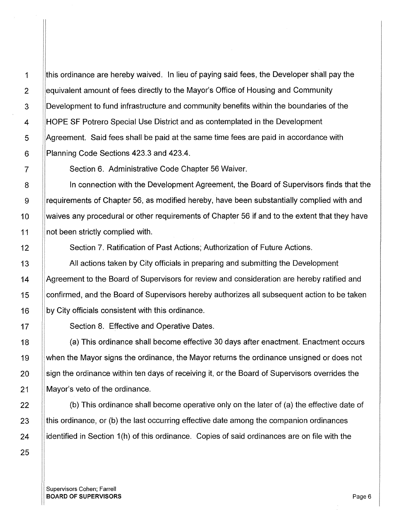lthis ordinance are hereby waived. In lieu of paying said fees, the Developer shall pay the I equivalent amount of fees directly to the Mayor's Office of Housing and Community Development to fund infrastructure and community benefits within the boundaries of the HOPE SF Potrero Special Use District and as contemplated in the Development Agreement. Said fees shall be paid at the same time fees are paid in accordance with Planning Code Sections 423.3 and 423.4.

Section 6. Administrative Code Chapter 56 Waiver.

In connection with the Development Agreement, the Board of Supervisors finds that the requirements of Chapter 56, as modified hereby, have been substantially complied with and waives any procedural or other requirements of Chapter 56 if and to the extent that they have not been strictly complied with.

Section 7. Ratification of Past Actions; Authorization of Future Actions.

All actions taken by City officials in preparing and submitting the Development Agreement to the Board of Supervisors for review and consideration are hereby ratified and confirmed, and the Board of Supervisors hereby authorizes all subsequent action to be taken by City officials consistent with this ordinance.

Section 8. Effective and Operative Dates.

(a) This ordinance shall become effective 30 days after enactment. Enactment occurs when the Mayor signs the ordinance, the Mayor returns the ordinance unsigned or does not sign the ordinance within ten days of receiving it, or the Board of Supervisors overrides the Mayor's veto of the ordinance.

(b) This ordinance shall become operative only on the later of (a) the effective date of this ordinance, or (b) the last occurring effective date among the companion ordinances identified in Section 1(h) of this ordinance. Copies of said ordinances are on file with the

1

Supervisors Cohen; Farrell BOARD OF SUPERVISORS And the state of the state of the state of the state of the state of the state of the state of the state of the state of the state of the state of the state of the state of the state of the state of th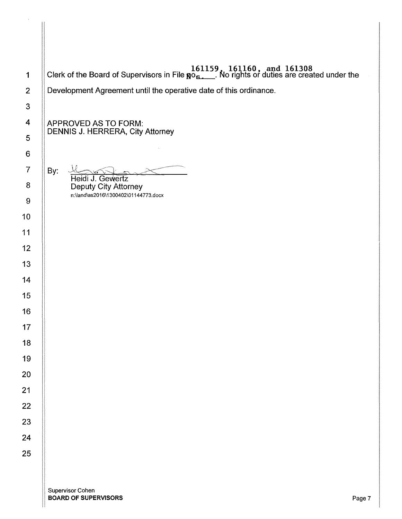| $\mathbf 1$             | <b>Clerk of the Board of Supervisors in File <math>\mathbb{R}^0</math><sub>5.</sub> 161159, 161160, and 161308</b><br>Clerk of the Board of Supervisors in File $\mathbb{R}^0$ <sub>5.</sub> No rights or duties are created under the |
|-------------------------|----------------------------------------------------------------------------------------------------------------------------------------------------------------------------------------------------------------------------------------|
| $\overline{2}$          | Development Agreement until the operative date of this ordinance.                                                                                                                                                                      |
| $\mathbf{3}$            |                                                                                                                                                                                                                                        |
| $\overline{\mathbf{4}}$ | APPROVED AS TO FORM:                                                                                                                                                                                                                   |
| 5                       | <b>DENNIS J. HERRERA, City Attorney</b>                                                                                                                                                                                                |
| 6                       |                                                                                                                                                                                                                                        |
| $\overline{7}$          | By:                                                                                                                                                                                                                                    |
| 8                       | Heidi J. Gewertz<br>Deputy City Attorney<br>n:\land\as2016\1300402\01144773.docx                                                                                                                                                       |
| $\boldsymbol{9}$        |                                                                                                                                                                                                                                        |
| 10                      |                                                                                                                                                                                                                                        |
| 11                      |                                                                                                                                                                                                                                        |
| 12                      |                                                                                                                                                                                                                                        |
| 13                      |                                                                                                                                                                                                                                        |
| 14                      |                                                                                                                                                                                                                                        |
| 15                      |                                                                                                                                                                                                                                        |
| 16                      |                                                                                                                                                                                                                                        |
| 17                      |                                                                                                                                                                                                                                        |
| 18                      |                                                                                                                                                                                                                                        |
| 19                      |                                                                                                                                                                                                                                        |
| 20                      |                                                                                                                                                                                                                                        |
| 21                      |                                                                                                                                                                                                                                        |
| 22                      |                                                                                                                                                                                                                                        |
| 23                      |                                                                                                                                                                                                                                        |
| 24                      |                                                                                                                                                                                                                                        |
| 25                      |                                                                                                                                                                                                                                        |
|                         |                                                                                                                                                                                                                                        |
|                         | Supervisor Cohen                                                                                                                                                                                                                       |

 $\hat{\boldsymbol{\beta}}$